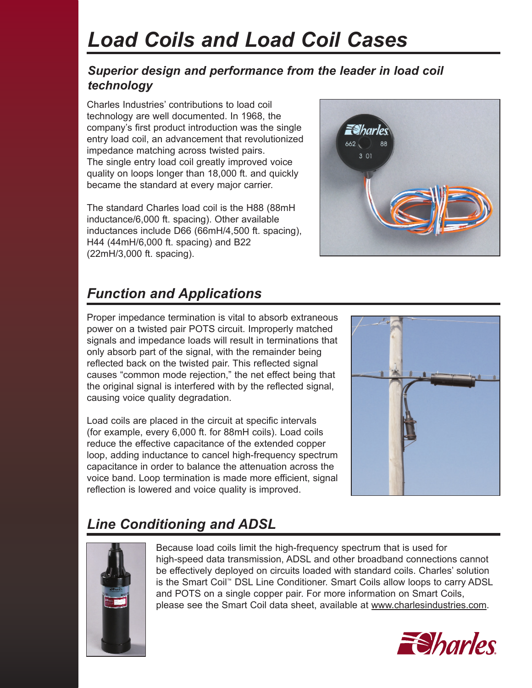# *Load Coils and Load Coil Cases*

### *Superior design and performance from the leader in load coil technology*

Charles Industries' contributions to load coil technology are well documented. In 1968, the company's first product introduction was the single entry load coil, an advancement that revolutionized impedance matching across twisted pairs. The single entry load coil greatly improved voice quality on loops longer than 18,000 ft. and quickly became the standard at every major carrier.

The standard Charles load coil is the H88 (88mH inductance/6,000 ft. spacing). Other available inductances include D66 (66mH/4,500 ft. spacing), H44 (44mH/6,000 ft. spacing) and B22 (22mH/3,000 ft. spacing).



### *Function and Applications*

Proper impedance termination is vital to absorb extraneous power on a twisted pair POTS circuit. Improperly matched signals and impedance loads will result in terminations that only absorb part of the signal, with the remainder being reflected back on the twisted pair. This reflected signal causes "common mode rejection," the net effect being that the original signal is interfered with by the reflected signal, causing voice quality degradation.

Load coils are placed in the circuit at specific intervals (for example, every 6,000 ft. for 88mH coils). Load coils reduce the effective capacitance of the extended copper loop, adding inductance to cancel high-frequency spectrum capacitance in order to balance the attenuation across the voice band. Loop termination is made more efficient, signal reflection is lowered and voice quality is improved.



## *Line Conditioning and ADSL*



Because load coils limit the high-frequency spectrum that is used for high-speed data transmission, ADSL and other broadband connections cannot be effectively deployed on circuits loaded with standard coils. Charles' solution is the Smart Coil™ DSL Line Conditioner. Smart Coils allow loops to carry ADSL and POTS on a single copper pair. For more information on Smart Coils, please see the Smart Coil data sheet, available at www.charlesindustries.com.

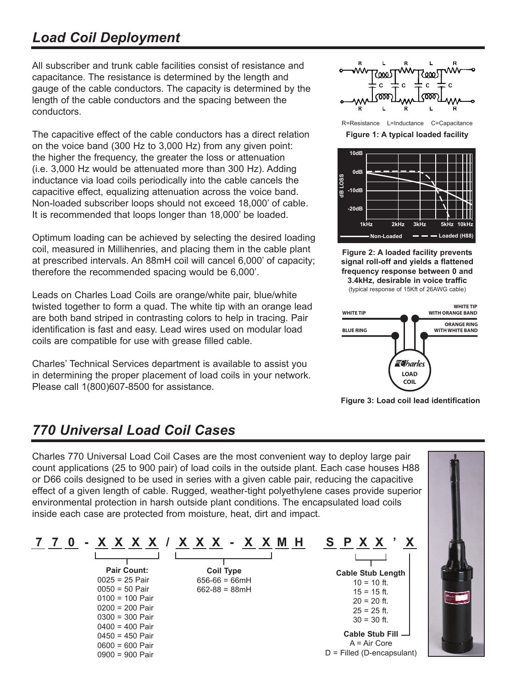### *Load Coil Deployment*

All subscriber and trunk cable facilities consist of resistance and capacitance. The resistance is determined by the length and gauge of the cable conductors. The capacity is determined by the length of the cable conductors and the spacing between the conductors.

The capacitive effect of the cable conductors has a direct relation on the voice band (300 Hz to 3,000 Hz) from any given point: the higher the frequency, the greater the loss or attenuation (i.e. 3,000 Hz would be attenuated more than 300 Hz). Adding inductance via load coils periodically into the cable cancels the capacitive effect, equalizing attenuation across the voice band. Non-loaded subscriber loops should not exceed 18,000' of cable. It is recommended that loops longer than 18,000' be loaded.

Optimum loading can be achieved by selecting the desired loading coil, measured in Millihenries, and placing them in the cable plant at prescribed intervals. An 88mH coil will cancel 6,000' of capacity; therefore the recommended spacing would be 6,000'.

Leads on Charles Load Coils are orange/white pair, blue/white twisted together to form a quad. The white tip with an orange lead are both band striped in contrasting colors to help in tracing. Pair identification is fast and easy. Lead wires used on modular load coils are compatible for use with grease filled cable.

Charles' Technical Services department is available to assist you in determining the proper placement of load coils in your network. Please call 1(800)607-8500 for assistance.



R=Resistance L=Inductance C=Capacitance

**Figure 1: A typical loaded facility**



**Figure 2: A loaded facility prevents signal roll-off and yields a flattened frequency response between 0 and 3.4kHz, desirable in voice traffic**

(typical response of 15Kft of 26AWG cable)



**Figure 3: Load coil lead identification**

### *770 Universal Load Coil Cases*

Charles 770 Universal Load Coil Cases are the most convenient way to deploy large pair count applications (25 to 900 pair) of load coils in the outside plant. Each case houses H88 or D66 coils designed to be used in series with a given cable pair, reducing the capacitive effect of a given length of cable. Rugged, weather-tight polyethylene cases provide superior environmental protection in harsh outside plant conditions. The encapsulated load coils inside each case are protected from moisture, heat, dirt and impact.

|                    |                    | SPXX'                        |
|--------------------|--------------------|------------------------------|
|                    |                    |                              |
| <b>Pair Count:</b> | <b>Coil Type</b>   | <b>Cable Stub Length</b>     |
| $0025 = 25$ Pair   | $656 - 66 = 66$ mH | $10 = 10$ ft.                |
| $0050 = 50$ Pair   | $662 - 88 = 88$ mH | $15 = 15$ ft.                |
| $0100 = 100$ Pair  |                    | $20 = 20$ ft.                |
| $0200 = 200$ Pair  |                    | $25 = 25$ ft.                |
| $0300 = 300$ Pair  |                    | $30 = 30$ ft.                |
| $0400 = 400$ Pair  |                    |                              |
| $0450 = 450$ Pair  |                    | Cable Stub Fill $\Box$       |
| $0600 = 600$ Pair  |                    | $A = Air Core$               |
| $0900 = 900$ Pair  |                    | $D =$ Filled (D-encapsulant) |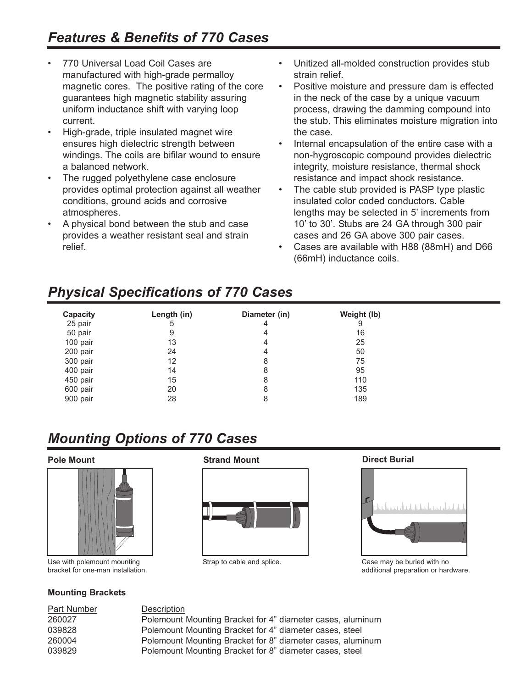- 770 Universal Load Coil Cases are manufactured with high-grade permalloy magnetic cores. The positive rating of the core guarantees high magnetic stability assuring uniform inductance shift with varying loop current.
- High-grade, triple insulated magnet wire ensures high dielectric strength between windings. The coils are bifilar wound to ensure a balanced network.
- The rugged polyethylene case enclosure provides optimal protection against all weather conditions, ground acids and corrosive atmospheres.
- A physical bond between the stub and case provides a weather resistant seal and strain relief.
- Unitized all-molded construction provides stub strain relief.
- Positive moisture and pressure dam is effected in the neck of the case by a unique vacuum process, drawing the damming compound into the stub. This eliminates moisture migration into the case.
- Internal encapsulation of the entire case with a non-hygroscopic compound provides dielectric integrity, moisture resistance, thermal shock resistance and impact shock resistance.
- The cable stub provided is PASP type plastic insulated color coded conductors. Cable lengths may be selected in 5' increments from 10' to 30'. Stubs are 24 GA through 300 pair cases and 26 GA above 300 pair cases.
- Cases are available with H88 (88mH) and D66 (66mH) inductance coils.

### *Physical Specifications of 770 Cases*

| Capacity | Length (in) | Diameter (in) | Weight (lb) |
|----------|-------------|---------------|-------------|
| 25 pair  | 5           | 4             | 9           |
| 50 pair  | 9           | 4             | 16          |
| 100 pair | 13          | 4             | 25          |
| 200 pair | 24          | 4             | 50          |
| 300 pair | 12          | 8             | 75          |
| 400 pair | 14          | 8             | 95          |
| 450 pair | 15          | 8             | 110         |
| 600 pair | 20          | 8             | 135         |
| 900 pair | 28          | 8             | 189         |

## *Mounting Options of 770 Cases*



Use with polemount mounting bracket for one-man installation.

#### **Mounting Brackets**

**Pole Mount Contract Burial Strand Mount Direct Burial** 





Strap to cable and splice. Case may be buried with no additional preparation or hardware.

260027 Polemount Mounting Bracket for 4" diameter cases, aluminum 039828 Polemount Mounting Bracket for 4" diameter cases, steel 260004 Polemount Mounting Bracket for 8" diameter cases, aluminum 039829 Polemount Mounting Bracket for 8" diameter cases, steel

### Part Number Description